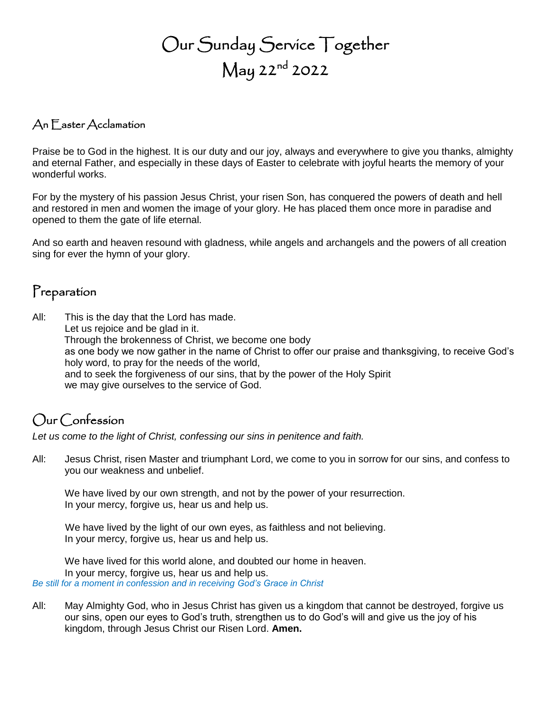# Our Sunday Service Together May 22nd 2022

#### An Easter Acclamation

Praise be to God in the highest. It is our duty and our joy, always and everywhere to give you thanks, almighty and eternal Father, and especially in these days of Easter to celebrate with joyful hearts the memory of your wonderful works.

For by the mystery of his passion Jesus Christ, your risen Son, has conquered the powers of death and hell and restored in men and women the image of your glory. He has placed them once more in paradise and opened to them the gate of life eternal.

And so earth and heaven resound with gladness, while angels and archangels and the powers of all creation sing for ever the hymn of your glory.

#### Preparation

All: This is the day that the Lord has made.

Let us rejoice and be glad in it.

Through the brokenness of Christ, we become one body

as one body we now gather in the name of Christ to offer our praise and thanksgiving, to receive God's holy word, to pray for the needs of the world,

and to seek the forgiveness of our sins, that by the power of the Holy Spirit we may give ourselves to the service of God.

#### Our Confession

*Let us come to the light of Christ, confessing our sins in penitence and faith.*

All: Jesus Christ, risen Master and triumphant Lord, we come to you in sorrow for our sins, and confess to you our weakness and unbelief.

We have lived by our own strength, and not by the power of your resurrection. In your mercy, forgive us, hear us and help us.

We have lived by the light of our own eyes, as faithless and not believing. In your mercy, forgive us, hear us and help us.

We have lived for this world alone, and doubted our home in heaven. In your mercy, forgive us, hear us and help us. *Be still for a moment in confession and in receiving God's Grace in Christ*

All: May Almighty God, who in Jesus Christ has given us a kingdom that cannot be destroyed, forgive us our sins, open our eyes to God's truth, strengthen us to do God's will and give us the joy of his kingdom, through Jesus Christ our Risen Lord. **Amen.**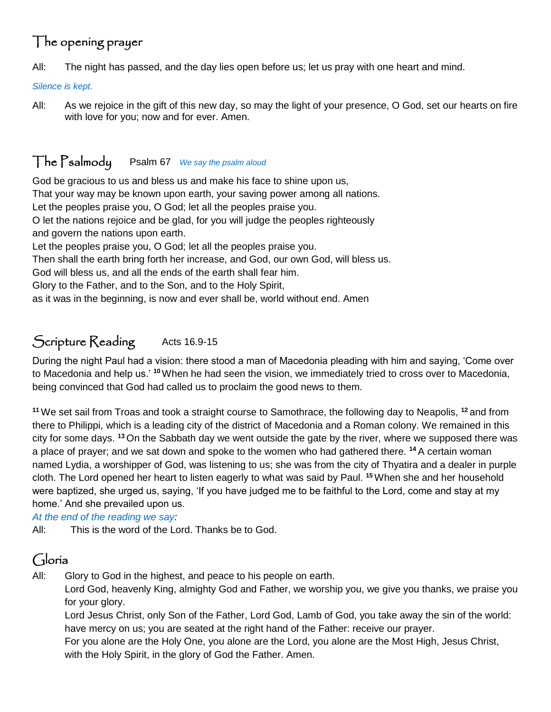## The opening prayer

All: The night has passed, and the day lies open before us; let us pray with one heart and mind.

*Silence is kept.*

All: As we rejoice in the gift of this new day, so may the light of your presence, O God, set our hearts on fire with love for you; now and for ever. Amen.

#### The Psalmody Psalm 67 *We say the psalm aloud*

God be gracious to us and bless us and make his face to shine upon us, That your way may be known upon earth, your saving power among all nations. Let the peoples praise you, O God; let all the peoples praise you. O let the nations rejoice and be glad, for you will judge the peoples righteously and govern the nations upon earth. Let the peoples praise you, O God; let all the peoples praise you. Then shall the earth bring forth her increase, and God, our own God, will bless us. God will bless us, and all the ends of the earth shall fear him. Glory to the Father, and to the Son, and to the Holy Spirit,

as it was in the beginning, is now and ever shall be, world without end. Amen

#### Scripture Reading Acts 16.9-15

During the night Paul had a vision: there stood a man of Macedonia pleading with him and saying, 'Come over to Macedonia and help us.' **<sup>10</sup>**When he had seen the vision, we immediately tried to cross over to Macedonia, being convinced that God had called us to proclaim the good news to them.

**<sup>11</sup>** We set sail from Troas and took a straight course to Samothrace, the following day to Neapolis, **<sup>12</sup>** and from there to Philippi, which is a leading city of the district of Macedonia and a Roman colony. We remained in this city for some days. **<sup>13</sup>** On the Sabbath day we went outside the gate by the river, where we supposed there was a place of prayer; and we sat down and spoke to the women who had gathered there. **<sup>14</sup>** A certain woman named Lydia, a worshipper of God, was listening to us; she was from the city of Thyatira and a dealer in purple cloth. The Lord opened her heart to listen eagerly to what was said by Paul. **<sup>15</sup>**When she and her household were baptized, she urged us, saying, 'If you have judged me to be faithful to the Lord, come and stay at my home.' And she prevailed upon us.

*At the end of the reading we say:*

All: This is the word of the Lord. Thanks be to God.

#### Gloria

All: Glory to God in the highest, and peace to his people on earth.

Lord God, heavenly King, almighty God and Father, we worship you, we give you thanks, we praise you for your glory.

Lord Jesus Christ, only Son of the Father, Lord God, Lamb of God, you take away the sin of the world: have mercy on us; you are seated at the right hand of the Father: receive our prayer.

For you alone are the Holy One, you alone are the Lord, you alone are the Most High, Jesus Christ, with the Holy Spirit, in the glory of God the Father. Amen.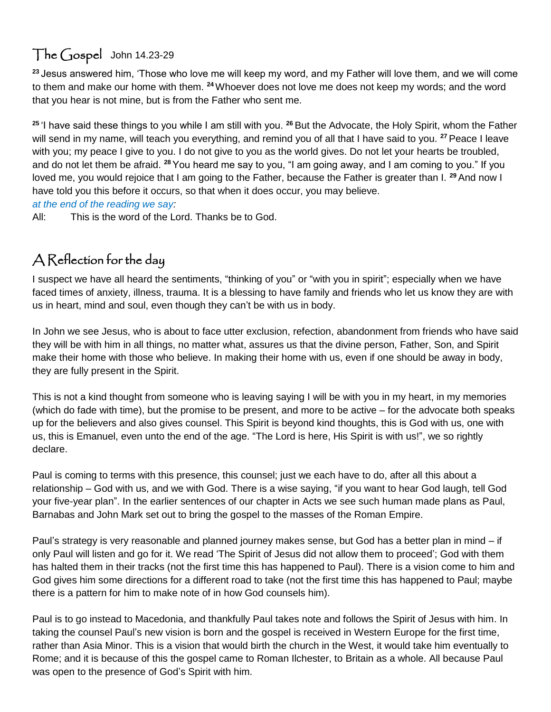## The Gospel John 14.23-29

**<sup>23</sup>** Jesus answered him, 'Those who love me will keep my word, and my Father will love them, and we will come to them and make our home with them. **<sup>24</sup>**Whoever does not love me does not keep my words; and the word that you hear is not mine, but is from the Father who sent me.

**<sup>25</sup>** 'I have said these things to you while I am still with you. **<sup>26</sup>** But the Advocate, the Holy Spirit, whom the Father will send in my name, will teach you everything, and remind you of all that I have said to you. **<sup>27</sup>** Peace I leave with you; my peace I give to you. I do not give to you as the world gives. Do not let your hearts be troubled, and do not let them be afraid. **<sup>28</sup>** You heard me say to you, "I am going away, and I am coming to you." If you loved me, you would rejoice that I am going to the Father, because the Father is greater than I. **<sup>29</sup>** And now I have told you this before it occurs, so that when it does occur, you may believe.

*at the end of the reading we say:*

All: This is the word of the Lord. Thanks be to God.

#### A Reflection for the day

I suspect we have all heard the sentiments, "thinking of you" or "with you in spirit"; especially when we have faced times of anxiety, illness, trauma. It is a blessing to have family and friends who let us know they are with us in heart, mind and soul, even though they can't be with us in body.

In John we see Jesus, who is about to face utter exclusion, refection, abandonment from friends who have said they will be with him in all things, no matter what, assures us that the divine person, Father, Son, and Spirit make their home with those who believe. In making their home with us, even if one should be away in body, they are fully present in the Spirit.

This is not a kind thought from someone who is leaving saying I will be with you in my heart, in my memories (which do fade with time), but the promise to be present, and more to be active – for the advocate both speaks up for the believers and also gives counsel. This Spirit is beyond kind thoughts, this is God with us, one with us, this is Emanuel, even unto the end of the age. "The Lord is here, His Spirit is with us!", we so rightly declare.

Paul is coming to terms with this presence, this counsel; just we each have to do, after all this about a relationship – God with us, and we with God. There is a wise saying, "if you want to hear God laugh, tell God your five-year plan". In the earlier sentences of our chapter in Acts we see such human made plans as Paul, Barnabas and John Mark set out to bring the gospel to the masses of the Roman Empire.

Paul's strategy is very reasonable and planned journey makes sense, but God has a better plan in mind – if only Paul will listen and go for it. We read 'The Spirit of Jesus did not allow them to proceed'; God with them has halted them in their tracks (not the first time this has happened to Paul). There is a vision come to him and God gives him some directions for a different road to take (not the first time this has happened to Paul; maybe there is a pattern for him to make note of in how God counsels him).

Paul is to go instead to Macedonia, and thankfully Paul takes note and follows the Spirit of Jesus with him. In taking the counsel Paul's new vision is born and the gospel is received in Western Europe for the first time, rather than Asia Minor. This is a vision that would birth the church in the West, it would take him eventually to Rome; and it is because of this the gospel came to Roman Ilchester, to Britain as a whole. All because Paul was open to the presence of God's Spirit with him.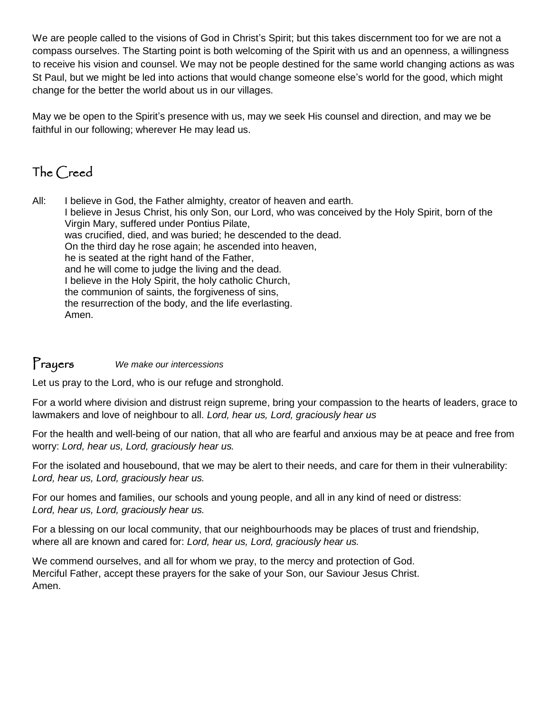We are people called to the visions of God in Christ's Spirit; but this takes discernment too for we are not a compass ourselves. The Starting point is both welcoming of the Spirit with us and an openness, a willingness to receive his vision and counsel. We may not be people destined for the same world changing actions as was St Paul, but we might be led into actions that would change someone else's world for the good, which might change for the better the world about us in our villages.

May we be open to the Spirit's presence with us, may we seek His counsel and direction, and may we be faithful in our following; wherever He may lead us.

### The Creed

All: I believe in God, the Father almighty, creator of heaven and earth. I believe in Jesus Christ, his only Son, our Lord, who was conceived by the Holy Spirit, born of the Virgin Mary, suffered under Pontius Pilate, was crucified, died, and was buried; he descended to the dead. On the third day he rose again; he ascended into heaven, he is seated at the right hand of the Father, and he will come to judge the living and the dead. I believe in the Holy Spirit, the holy catholic Church, the communion of saints, the forgiveness of sins, the resurrection of the body, and the life everlasting. Amen.

#### Prayers *We make our intercessions*

Let us pray to the Lord, who is our refuge and stronghold.

For a world where division and distrust reign supreme, bring your compassion to the hearts of leaders, grace to lawmakers and love of neighbour to all. *Lord, hear us, Lord, graciously hear us*

For the health and well-being of our nation, that all who are fearful and anxious may be at peace and free from worry: *Lord, hear us, Lord, graciously hear us.*

For the isolated and housebound, that we may be alert to their needs, and care for them in their vulnerability: *Lord, hear us, Lord, graciously hear us.*

For our homes and families, our schools and young people, and all in any kind of need or distress: *Lord, hear us, Lord, graciously hear us.*

For a blessing on our local community, that our neighbourhoods may be places of trust and friendship, where all are known and cared for: *Lord, hear us, Lord, graciously hear us.*

We commend ourselves, and all for whom we pray, to the mercy and protection of God. Merciful Father, accept these prayers for the sake of your Son, our Saviour Jesus Christ. Amen.